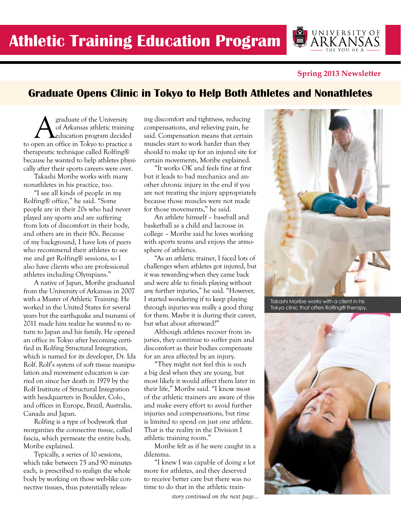**Spring 2013 Newsletter**

# **Graduate Opens Clinic in Tokyo to Help Both Athletes and Nonathletes**

**A** graduate of the University<br>of Arkansas athletic training<br>nen an office in Tokyo to practice of Arkansas athletic training education program decided to open an office in Tokyo to practice a therapeutic technique called Rolfing® because he wanted to help athletes physically after their sports careers were over.

Takashi Moribe works with many nonathletes in his practice, too.

"I see all kinds of people in my Rolfing® office," he said. "Some people are in their 20s who had never played any sports and are suffering from lots of discomfort in their body, and others are in their 80s. Because of my background, I have lots of peers who recommend their athletes to see me and get Rolfing® sessions, so I also have clients who are professional athletes including Olympians."

A native of Japan, Moribe graduated from the University of Arkansas in 2007 with a Master of Athletic Training. He worked in the United States for several years but the earthquake and tsunami of 2011 made him realize he wanted to return to Japan and his family. He opened an office in Tokyo after becoming certified in Rolfing Structural Integration, which is named for its developer, Dr. Ida Rolf. Rolf's system of soft tissue manipulation and movement education is carried on since her death in 1979 by the Rolf Institute of Structural Integration with headquarters in Boulder, Colo., and offices in Europe, Brazil, Australia, Canada and Japan.

Rolfing is a type of bodywork that reorganizes the connective tissue, called fascia, which permeate the entire body, Moribe explained.

Typically, a series of 10 sessions, which take between 75 and 90 minutes each, is prescribed to realign the whole body by working on those web-like connective tissues, thus potentially releasing discomfort and tightness, reducing compensations, and relieving pain, he said. Compensation means that certain muscles start to work harder than they should to make up for an injured site for certain movements, Moribe explained.

"It works OK and feels fine at first but it leads to bad mechanics and another chronic injury in the end if you are not treating the injury appropriately because those muscles were not made for those movements," he said.

An athlete himself – baseball and basketball as a child and lacrosse in college – Moribe said he loves working with sports teams and enjoys the atmosphere of athletics.

"As an athletic trainer, I faced lots of challenges when athletes got injured, but it was rewarding when they came back and were able to finish playing without any further injuries," he said. "However, I started wondering if to keep playing through injuries was really a good thing for them. Maybe it is during their career, but what about afterward?"

Although athletes recover from injuries, they continue to suffer pain and discomfort as their bodies compensate for an area affected by an injury.

"They might not feel this is such a big deal when they are young, but most likely it would affect them later in their life," Moribe said. "I know most of the athletic trainers are aware of this and make every effort to avoid further injuries and compensations, but time is limited to spend on just one athlete. That is the reality in the Division I athletic training room."

Moribe felt as if he were caught in a dilemma.

"I knew I was capable of doing a lot more for athletes, and they deserved to receive better care but there was no time to do that in the athletic train-

*story continued on the next page...*



Takashi Moribe works with a client in his Tokyo clinic that offers Rolfing® therapy.



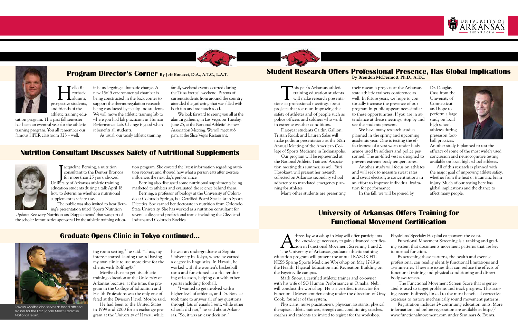### **Program Director's Corner By Jeff Bonacci, D.A., A.T.C., L.A.T. Student Research Offers Professional Presence, Has Global Implications By Brendon McDermott, Ph.D., A.T.C.**

## **Nutrition Consultant Discusses Safety of Nutritional Supplements**



# **University of Arkansas Offers Training for Functional Movement Certification**







Hello Ra-prospective students, zorback alumni, and friends of the athletic training edu-

cation program. This past fall semester has been an eventful year for the athletic training program. You all remember our famous HPER classroom 323 – well,

it is undergoing a dramatic change. A new 15x15 environmental chamber is being constructed in the back corner to

support the thermoregulation research being conducted by faculty and students. We will move the athletic training lab to where you had lab practicum in Human Performance Lab. Change is good when it benefits all students.

This year's Arkansas athletic<br>training education students<br>will make research presenta<br>as at professional meetings about training education students will make research presentations at professional meetings about projects that focus on improving the safety of athletes and of people such as police officers and soldiers who work in extreme weather conditions.

As usual, our yearly athletic training

family weekend event occurred during the Tulsa football weekend. Parents of current students from around the country attended the gathering that was filled with both fun and too much food.

We look forward to seeing you all at the alumni gathering in Las Vegas on Tuesday, June 25, at the National Athletic Trainers' Association Meeting. We will meet at 8 p.m. at the Slice Vegas Restaurant.

First-year students Caitlin Gallion, Tristan Rodik and Lauren Salas will make podium presentations at the 60th Annual Meeting of the American College of Sports Medicine in Indianapolis.

Tacqueline Berning, a nutrition<br>
consultant to the Denver Bronce<br>
for more than 25 years, showed<br>
University of Arkansas athletic training acqueline Berning, a nutrition consultant to the Denver Broncos for more than 25 years, showed education students during a talk April 18 how to determine whether a nutritional supplement is safe to use.

Our program will be represented at the National Athletic Trainers' Association meeting this summer, as well. Yuri Hosokawa will present her research collected on Arkansas secondary school adherence to mandated emergency planning for athletes.

Many other students are presenting

their research projects at the Arkansas state athletic trainers conference as well. In future years, we hope to continually increase the presence of our program in public appearances similar to these opportunities. If you are in attendance at these meetings, stop by and see the students present.

We have many research studies Another study will focus on athletes

planned in the spring and upcoming academic year. One is testing the effectiveness of a vest worn under body armor used by soldiers and police personnel. The air-filled vest is designed to prevent extreme body temperatures. and will seek to measure sweat rates and sweat electrolyte concentrations in an effort to improve individual hydration for performance. In the fall, we will be joined by

Dr. Douglas Casa from the University of Connecticut and hope to perform a large study on local high school athletes during preseason football practices.



Another study is planned to test the efficacy of some of the most widely used concussion and neurocognitive testing available on local high school athletes.

A three-day workshop in May will offer participants<br>the knowledge necessary to gain advanced certific<br>The University of Arkansas graduate athletic training the knowledge necessary to gain advanced certification in Functional Movement Screening 1 and 2. The University of Arkansas graduate athletic training Physicians' Specialty Hospital co-sponsors the event. Functional Movement Screening is a ranking and grading system that documents movement patterns that are key to normal function.

All of this research is planned with the major goal of improving athlete safety, whether from the heat or traumatic brain injury. Much of our testing here has global implications and the chance to affect many people.

The public was also invited to hear Berning's presentation titled "Sports Nutrition

Update: Recovery Nutrition and Supplements" that was part of the scholar lecture series sponsored by the athletic training education program. She covered the latest information regarding nutrition recovery and showed how what a person eats after exercise influences the next day's performance.

Berning also discussed some nutritional supplements being marketed to athletes and evaluated the science behind them.

Berning, a professor of biology at the University of Colorado at Colorado Springs, is a Certified Board Specialist in Sports Dietetics. She earned her doctorate in nutrition from Colorado State University. She has worked as a nutrition consultant for several college and professional teams including the Cleveland Indians and Colorado Rockies.

ing room setting," he said. "Thus, my interest started leaning toward having my own clinic to use more time for the clients with Rolfing®."

Moribe chose to get his athletic training education at the University of Arkansas because, at the time, the program in the College of Education and Health Professions was the only one offered at the Division I level, Moribe said. He had been to the United States

in 1999 and 2000 for an exchange program at the University of Hawaii while

he was an undergraduate at Sophia University in Tokyo, where he earned a degree in linguistics. In Hawaii, he worked with the women's basketball team and functioned as a floater during off-season, helping out with other sports including football.

"I wanted to get involved with a higher level of athletics, and Dr. Bonacci took time to answer all of my questions through lots of emails I sent, while other schools did not," he said about Arkansas. "So, it was an easy decision."

education program will present the annual RAZOR FIT-NESS Spring Sports Medicine Workshop on May 17-19 at the Health, Physical Education and Recreation Building on the Fayetteville campus.

Mark Snow, a certified athletic trainer and co-owner with his wife of SG Human Performance in Omaha, Neb., will conduct the workshop. He is a certified instructor for Functional Movement Screening under the direction of Gray Cook, founder of the system.

By screening these patterns, the health and exercise professional can readily identify functional limitations and asymmetries. These are issues that can reduce the effects of functional training and physical conditioning and distort body awareness.

Physicians, nurse practitioners, physician assistants, physical therapists, athletic trainers, strength and conditioning coaches, coaches and students are invited to register for the workshop. Registration includes 24 continuing education units. More information and online registration are available at http:// www.functionalmovement.com under Seminars & Events.



 The Functional Movement Screen Score that is generated is used to target problems and track progress. This scoring system is directly linked to the most beneficial corrective exercises to restore mechanically sound movement patterns.



Takashi Moribe also serves as head athletic trainer for the U22 Japan Men's Lacrosse National Team.

## **Graduate Opens Clinic in Tokyo continued...**